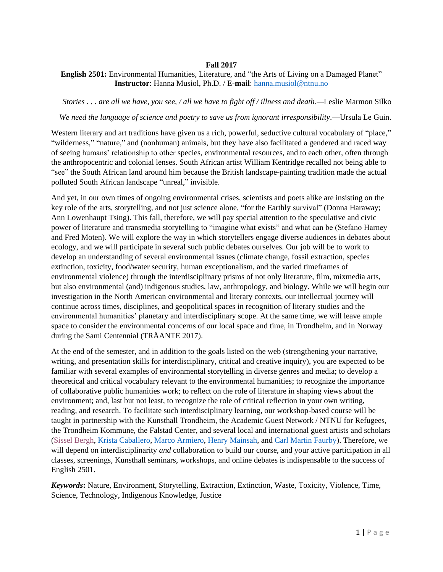# **Fall 2017**

# **English 2501:** Environmental Humanities, Literature, and "the Arts of Living on a Damaged Planet" **Instructor**: Hanna Musiol, Ph.D. / E-**mail**: [hanna.musiol@ntnu.no](mailto:hanna.musiol@ntnu.no)

*Stories . . . are all we have, you see, / all we have to fight off / illness and death.—*Leslie Marmon Silko

We need the language of science and poetry to save us from ignorant irresponsibility.—Ursula Le Guin.

Western literary and art traditions have given us a rich, powerful, seductive cultural vocabulary of "place," "wilderness," "nature," and (nonhuman) animals, but they have also facilitated a gendered and raced way of seeing humans' relationship to other species, environmental resources, and to each other, often through the anthropocentric and colonial lenses. South African artist William Kentridge recalled not being able to "see" the South African land around him because the British landscape-painting tradition made the actual polluted South African landscape "unreal," invisible.

And yet, in our own times of ongoing environmental crises, scientists and poets alike are insisting on the key role of the arts, storytelling, and not just science alone, "for the Earthly survival" (Donna Haraway; Ann Lowenhaupt Tsing). This fall, therefore, we will pay special attention to the speculative and civic power of literature and transmedia storytelling to "imagine what exists" and what can be (Stefano Harney and Fred Moten). We will explore the way in which storytellers engage diverse audiences in debates about ecology, and we will participate in several such public debates ourselves. Our job will be to work to develop an understanding of several environmental issues (climate change, fossil extraction, species extinction, toxicity, food/water security, human exceptionalism, and the varied timeframes of environmental violence) through the interdisciplinary prisms of not only literature, film, mixmedia arts, but also environmental (and) indigenous studies, law, anthropology, and biology. While we will begin our investigation in the North American environmental and literary contexts, our intellectual journey will continue across times, disciplines, and geopolitical spaces in recognition of literary studies and the environmental humanities' planetary and interdisciplinary scope. At the same time, we will leave ample space to consider the environmental concerns of our local space and time, in Trondheim, and in Norway during the Sami Centennial (TRÅANTE 2017).

At the end of the semester, and in addition to the goals listed on the web (strengthening your narrative, writing, and presentation skills for interdisciplinary, critical and creative inquiry), you are expected to be familiar with several examples of environmental storytelling in diverse genres and media; to develop a theoretical and critical vocabulary relevant to the environmental humanities; to recognize the importance of collaborative public humanities work; to reflect on the role of literature in shaping views about the environment; and, last but not least, to recognize the role of critical reflection in your own writing, reading, and research. To facilitate such interdisciplinary learning, our workshop-based course will be taught in partnership with the Kunsthall Trondheim, the Academic Guest Network / NTNU for Refugees, the Trondheim Kommune, the Falstad Center, and several local and international guest artists and scholars [\(Sissel Bergh,](http://sisselmbergh.net/) [Krista Caballero,](http://kristacaballero.com/) [Marco Armiero,](http://newnatures.org/greenhouse/events/marco-armiero-trespassing-environmental-history-of-migrations/) [Henry Mainsah,](http://designresearch.no/people/henry-mainsah) and [Carl Martin Faurby\)](https://kunsthalltrondheim.no/en/informasjon). Therefore, we will depend on interdisciplinarity *and* collaboration to build our course, and your active participation in all classes, screenings, Kunsthall seminars, workshops, and online debates is indispensable to the success of English 2501.

*Keywords***:** Nature, Environment, Storytelling, Extraction, Extinction, Waste, Toxicity, Violence, Time, Science, Technology, Indigenous Knowledge, Justice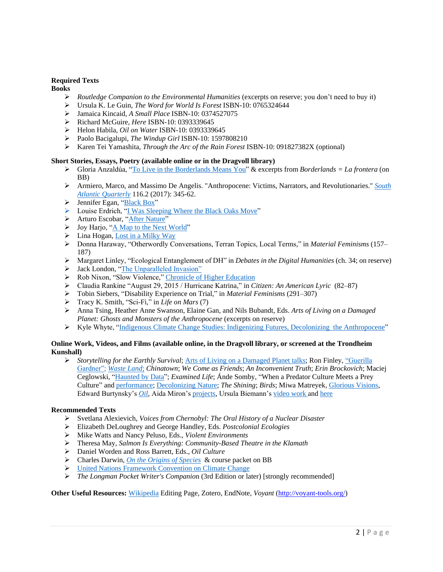### **Required Texts**

**Books**

- ➢ *Routledge Companion to the Environmental Humanities* (excerpts on reserve; you don't need to buy it)
- ➢ Ursula K. Le Guin, *The Word for World Is Forest* ISBN-10: 0765324644
- ➢ Jamaica Kincaid, *A Small Place* ISBN-10: 0374527075
- ➢ Richard McGuire, *Here* ISBN-10: 0393339645
- ➢ Helon Habila, *Oil on Water* ISBN-10: 0393339645
- ➢ Paolo Bacigalupi, *The Windup Girl* ISBN-10: 1597808210
- ➢ Karen Tei Yamashita, *Through the Arc of the Rain Forest* ISBN-10: 091827382X (optional)

#### **Short Stories, Essays, Poetry (available online or in the Dragvoll library)**

- ➢ Gloria Anzaldúa, ["To Live in the Borderlands Means You"](http://www.revistascisan.unam.mx/Voices/pdfs/7422.pdf) & excerpts from *Borderlands = La frontera* (on BB)
- ➢ Armiero, Marco, and Massimo De Angelis. "Anthropocene: Victims, Narrators, and Revolutionaries." *[South](https://read.dukeupress.edu/south-atlantic-quarterly/article-abstract/116/2/345/3864/Anthropocene-Victims-Narrators-and-Revolutionaries)  [Atlantic Quarterly](https://read.dukeupress.edu/south-atlantic-quarterly/article-abstract/116/2/345/3864/Anthropocene-Victims-Narrators-and-Revolutionaries)* 116.2 (2017): 345-62.
- ➢ Jennifer Egan, ["Black Box"](http://www.newyorker.com/magazine/2012/06/04/black-box-2)
- ➢ Louise Erdrich, ["I Was Sleeping Where the Black Oaks Move"](https://www.poetryfoundation.org/poems-and-poets/poems/detail/43081)
- ➢ Arturo Escobar, ["After Nature"](http://anthro.vancouver.wsu.edu/media/Course_files/anth-490-edward-h-hagen/escobar-1999-after-nature-steps-to-an-antiessentialist-political-ecology.pdf)
- ➢ Joy Harjo, ["A Map to the Next World"](https://www.poetryfoundation.org/poems/49621/a-map-to-the-next-world)
- $\triangleright$  Lina Hogan, [Lost in a Milky Way](https://www.poetryfoundation.org/poetrymagazine/poems/detail/88744#about)
- ➢ Donna Haraway, "Otherwordly Conversations, Terran Topics, Local Terms," in *Material Feminisms* (157– 187)
- ➢ Margaret Linley, "Ecological Entanglement of DH" in *Debates in the Digital Humanities* (ch. 34; on reserve)
- ➢ Jack London, ["The Unparalleled Invasion"](http://london.sonoma.edu/writings/StrengthStrong/invasion.html)
- ➢ Rob Nixon, "Slow Violence," [Chronicle of Higher Education](http://www.chronicle.com/article/Slow-Violence/127968)
- ➢ Claudia Rankine "August 29, 2015 / Hurricane Katrina," in *Citizen: An American Lyric* (82–87)
- ➢ Tobin Siebers, "Disability Experience on Trial," in *Material Feminisms* (291–307)
- ➢ Tracy K. Smith, "Sci-Fi," in *Life on Mars* (7)
- ➢ Anna Tsing, Heather Anne Swanson, Elaine Gan, and Nils Bubandt, Eds. *Arts of Living on a Damaged Planet: Ghosts and Monsters of the Anthropocene* (excerpts on reserve)
- ➢ Kyle Whyte, ["Indigenous Climate Change Studies: Indigenizing Futures, Decolonizing the Anthropocene"](https://static1.squarespace.com/static/55c251dfe4b0ad74ccf25537/t/5893be5246c3c41105f6dc8c/1486077523702/Indigenous_Climate_Change_Studies_Indige.pdf)

#### **Online Work, Videos, and Films (available online, in the Dragvoll library, or screened at the Trondheim Kunshall)**

➢ *Storytelling for the Earthly Survival*; [Arts of Living on a Damaged Planet](http://anthropocene.au.dk/conferences/arts-of-living-on-a-damaged-planet-may-2014/) talks; Ron Finley, ["Guerilla](https://www.ted.com/talks/ron_finley_a_guerilla_gardener_in_south_central_la)  [Gardner";](https://www.ted.com/talks/ron_finley_a_guerilla_gardener_in_south_central_la) *[Waste](http://www.wastelandmovie.com/) Land*; *Chinatown*; *We Come as Friends*; *An Inconvenient Truth*; *Erin Brockovich*; Maciej Ceglowski, ["Haunted by Data"](http://idlewords.com/talks/haunted_by_data.htm); *Examined Life*; Ánde Somby, "When a Predator Culture Meets a Prey Culture" an[d performance;](https://www.youtube.com/watch?v=nmK6ZGyf1w0) [Decolonizing Nature;](http://decolonizingnature.unm.edu/videos/) *The Shining*; *Birds*; Miwa Matreyek, [Glorious Visions,](https://www.ted.com/talks/miwa_matreyek_s_glorious_visions) Edward Burtynsky's *[Oil](http://www.edwardburtynsky.com/site_contents/Photographs/Oil.html)*, Aida Miron's [projects,](http://www.koraforms.com/mappings/) Ursula Biemann's [video work](https://www.geobodies.org/art-and-videos) and [here](https://vimeo.com/187701623)

#### **Recommended Texts**

- ➢ Svetlana Alexievich, *Voices from Chernobyl: The Oral History of a Nuclear Disaster*
- ➢ Elizabeth DeLoughrey and George Handley, Eds. *Postcolonial Ecologies*
- ➢ Mike Watts and Nancy Peluso, Eds., *Violent Environments*
- ➢ Theresa May, *Salmon Is Everything: Community-Based Theatre in the Klamath*
- ➢ Daniel Worden and Ross Barrett, Eds., *Oil Culture*
- ➢ Charles Darwin, *[On the Origins of Species](http://www.gutenberg.org/ebooks/2009)* & course packet on BB
- → [United Nations Framework Convention on Climate Change](https://unfccc.int/2860.php)<br>
→ The Longman Pocket Writer's Companion (3rd Edition or la
- ➢ *The Longman Pocket Writer's Companio*n (3rd Edition or later) [strongly recommended]

**Other Useful Resources:** [Wikipedia](https://en.wikipedia.org/wiki/Wikipedia:Tutorial/Editing) Editing Page, Zotero, EndNote, *Voyant* [\(http://voyant-tools.org/\)](http://voyant-tools.org/)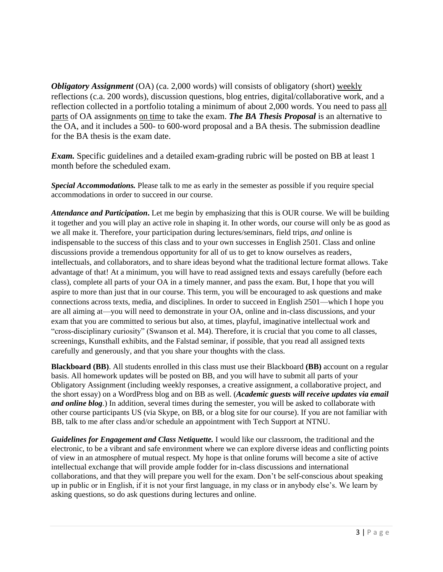*Obligatory Assignment* (OA) (ca. 2,000 words) will consists of obligatory (short) weekly reflections (c.a. 200 words), discussion questions, blog entries, digital/collaborative work, and a reflection collected in a portfolio totaling a minimum of about 2,000 words. You need to pass all parts of OA assignments on time to take the exam. *The BA Thesis Proposal* is an alternative to the OA, and it includes a 500- to 600-word proposal and a BA thesis. The submission deadline for the BA thesis is the exam date.

*Exam.* Specific guidelines and a detailed exam-grading rubric will be posted on BB at least 1 month before the scheduled exam.

*Special Accommodations.* Please talk to me as early in the semester as possible if you require special accommodations in order to succeed in our course.

*Attendance and Participation***.** Let me begin by emphasizing that this is OUR course. We will be building it together and you will play an active role in shaping it. In other words, our course will only be as good as we all make it. Therefore, your participation during lectures/seminars, field trips, *and* online is indispensable to the success of this class and to your own successes in English 2501. Class and online discussions provide a tremendous opportunity for all of us to get to know ourselves as readers, intellectuals, and collaborators, and to share ideas beyond what the traditional lecture format allows. Take advantage of that! At a minimum, you will have to read assigned texts and essays carefully (before each class), complete all parts of your OA in a timely manner, and pass the exam. But, I hope that you will aspire to more than just that in our course. This term, you will be encouraged to ask questions and make connections across texts, media, and disciplines. In order to succeed in English 2501—which I hope you are all aiming at—you will need to demonstrate in your OA, online and in-class discussions, and your exam that you are committed to serious but also, at times, playful, imaginative intellectual work and "cross-disciplinary curiosity" (Swanson et al. M4). Therefore, it is crucial that you come to all classes, screenings, Kunsthall exhibits, and the Falstad seminar, if possible, that you read all assigned texts carefully and generously, and that you share your thoughts with the class.

**Blackboard (BB)**. All students enrolled in this class must use their Blackboard **(BB)** account on a regular basis. All homework updates will be posted on BB, and you will have to submit all parts of your Obligatory Assignment (including weekly responses, a creative assignment, a collaborative project, and the short essay) on a WordPress blog and on BB as well. (*Academic guests will receive updates via email and online blog*.) In addition, several times during the semester, you will be asked to collaborate with other course participants US (via Skype, on BB, or a blog site for our course). If you are not familiar with BB, talk to me after class and/or schedule an appointment with Tech Support at NTNU.

*Guidelines for Engagement and Class Netiquette.* I would like our classroom, the traditional and the electronic, to be a vibrant and safe environment where we can explore diverse ideas and conflicting points of view in an atmosphere of mutual respect. My hope is that online forums will become a site of active intellectual exchange that will provide ample fodder for in-class discussions and international collaborations, and that they will prepare you well for the exam. Don't be self-conscious about speaking up in public or in English, if it is not your first language, in my class or in anybody else's. We learn by asking questions, so do ask questions during lectures and online.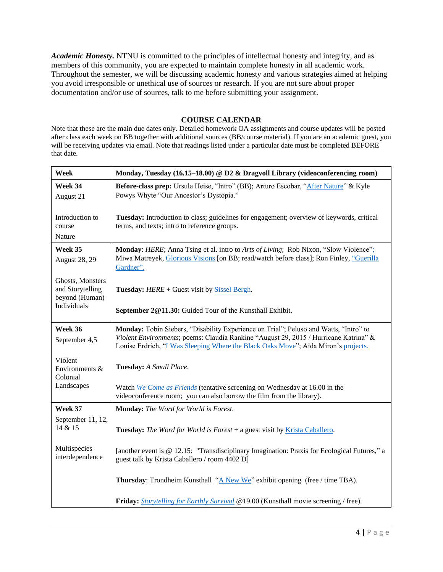*Academic Honesty.* NTNU is committed to the principles of intellectual honesty and integrity, and as members of this community, you are expected to maintain complete honesty in all academic work. Throughout the semester, we will be discussing academic honesty and various strategies aimed at helping you avoid irresponsible or unethical use of sources or research. If you are not sure about proper documentation and/or use of sources, talk to me before submitting your assignment.

# **COURSE CALENDAR**

Note that these are the main due dates only. Detailed homework OA assignments and course updates will be posted after class each week on BB together with additional sources (BB/course material). If you are an academic guest, you will be receiving updates via email. Note that readings listed under a particular date must be completed BEFORE that date.

| Week                                                                  | Monday, Tuesday (16.15–18.00) @ D2 & Dragvoll Library (videoconferencing room)                                                                                                                                                                                      |
|-----------------------------------------------------------------------|---------------------------------------------------------------------------------------------------------------------------------------------------------------------------------------------------------------------------------------------------------------------|
| Week 34<br>August 21                                                  | Before-class prep: Ursula Heise, "Intro" (BB); Arturo Escobar, "After Nature" & Kyle<br>Powys Whyte "Our Ancestor's Dystopia."                                                                                                                                      |
| Introduction to<br>course<br>Nature                                   | Tuesday: Introduction to class; guidelines for engagement; overview of keywords, critical<br>terms, and texts; intro to reference groups.                                                                                                                           |
| Week 35                                                               |                                                                                                                                                                                                                                                                     |
| <b>August 28, 29</b>                                                  | Monday: HERE; Anna Tsing et al. intro to Arts of Living; Rob Nixon, "Slow Violence";<br>Miwa Matreyek, Glorious Visions [on BB; read/watch before class]; Ron Finley, "Guerilla<br>Gardner".                                                                        |
| Ghosts, Monsters<br>and Storytelling<br>beyond (Human)<br>Individuals | <b>Tuesday:</b> HERE + Guest visit by Sissel Bergh.                                                                                                                                                                                                                 |
|                                                                       | September 2@11.30: Guided Tour of the Kunsthall Exhibit.                                                                                                                                                                                                            |
| Week 36<br>September 4,5                                              | Monday: Tobin Siebers, "Disability Experience on Trial"; Peluso and Watts, "Intro" to<br>Violent Environments; poems: Claudia Rankine "August 29, 2015 / Hurricane Katrina" &<br>Louise Erdrich, "I Was Sleeping Where the Black Oaks Move"; Aida Miron's projects. |
| Violent<br>Environments &<br>Colonial                                 | Tuesday: A Small Place.                                                                                                                                                                                                                                             |
| Landscapes                                                            | Watch We Come as Friends (tentative screening on Wednesday at 16.00 in the<br>videoconference room; you can also borrow the film from the library).                                                                                                                 |
| Week 37                                                               | Monday: The Word for World is Forest.                                                                                                                                                                                                                               |
| September 11, 12,<br>14 & 15                                          | <b>Tuesday:</b> The Word for World is Forest + a guest visit by <i>Krista Caballero</i> .                                                                                                                                                                           |
| Multispecies<br>interdependence                                       | [another event is @ 12.15: "Transdisciplinary Imagination: Praxis for Ecological Futures," a<br>guest talk by Krista Caballero / room 4402 D]                                                                                                                       |
|                                                                       | <b>Thursday</b> : Trondheim Kunsthall " $\underline{A}$ New We" exhibit opening (free / time TBA).                                                                                                                                                                  |
|                                                                       | Friday: Storytelling for Earthly Survival @19.00 (Kunsthall movie screening / free).                                                                                                                                                                                |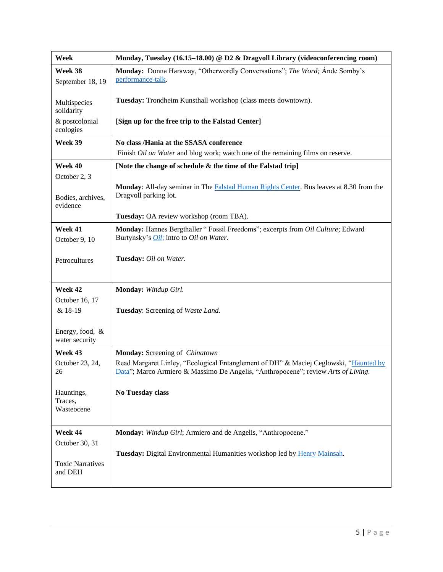| Week                                | Monday, Tuesday (16.15–18.00) @ D2 & Dragvoll Library (videoconferencing room)                                                                                             |
|-------------------------------------|----------------------------------------------------------------------------------------------------------------------------------------------------------------------------|
| Week 38<br>September 18, 19         | Monday: Donna Haraway, "Otherwordly Conversations"; The Word; Ande Somby's<br>performance-talk.                                                                            |
| Multispecies<br>solidarity          | Tuesday: Trondheim Kunsthall workshop (class meets downtown).                                                                                                              |
| & postcolonial<br>ecologies         | [Sign up for the free trip to the Falstad Center]                                                                                                                          |
| Week 39                             | No class /Hania at the SSASA conference                                                                                                                                    |
|                                     | Finish Oil on Water and blog work; watch one of the remaining films on reserve.                                                                                            |
| Week 40<br>October 2, 3             | [Note the change of schedule & the time of the Falstad trip]                                                                                                               |
| Bodies, archives,<br>evidence       | Monday: All-day seminar in The Falstad Human Rights Center. Bus leaves at 8.30 from the<br>Dragvoll parking lot.                                                           |
|                                     | Tuesday: OA review workshop (room TBA).                                                                                                                                    |
| Week 41<br>October 9, 10            | Monday: Hannes Bergthaller " Fossil Freedoms"; excerpts from Oil Culture; Edward<br>Burtynsky's <i>Oil</i> ; intro to <i>Oil on Water</i> .                                |
| Petrocultures                       | Tuesday: Oil on Water.                                                                                                                                                     |
| Week 42                             | Monday: Windup Girl.                                                                                                                                                       |
| October 16, 17<br>& 18-19           | Tuesday: Screening of Waste Land.                                                                                                                                          |
| Energy, food, &<br>water security   |                                                                                                                                                                            |
| Week 43                             | Monday: Screening of Chinatown                                                                                                                                             |
| October 23, 24,<br>26               | Read Margaret Linley, "Ecological Entanglement of DH" & Maciej Ceglowski, "Haunted by<br>Data"; Marco Armiero & Massimo De Angelis, "Anthropocene"; review Arts of Living. |
| Hauntings,<br>Traces,<br>Wasteocene | No Tuesday class                                                                                                                                                           |
| Week 44                             | Monday: Windup Girl; Armiero and de Angelis, "Anthropocene."                                                                                                               |
| October 30, 31                      | Tuesday: Digital Environmental Humanities workshop led by Henry Mainsah.                                                                                                   |
| <b>Toxic Narratives</b><br>and DEH  |                                                                                                                                                                            |